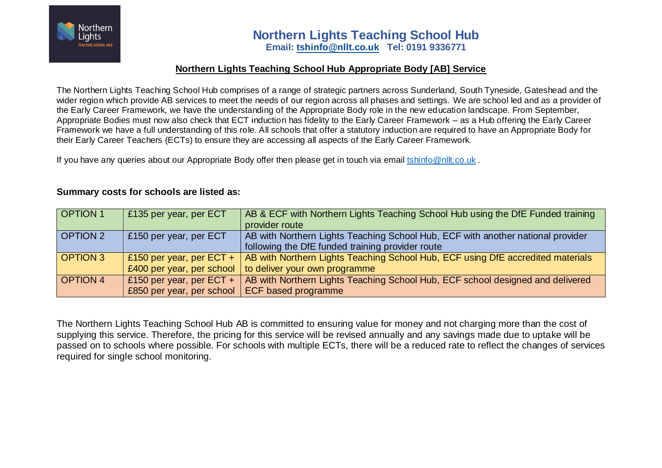

#### **Northern Lights Teaching School Hub Appropriate Body [AB] Service**

The Northern Lights Teaching School Hub comprises of a range of strategic partners across Sunderland, South Tyneside, Gateshead and the wider region which provide AB services to meet the needs of our region across all phases and settings. We are school led and as a provider of the Early Career Framework, we have the understanding of the Appropriate Body role in the new education landscape. From September, Appropriate Bodies must now also check that ECT induction has fidelity to the Early Career Framework – as a Hub offering the Early Career Framework we have a full understanding of this role. All schools that offer a statutory induction are required to have an Appropriate Body for their Early Career Teachers (ECTs) to ensure they are accessing all aspects of the Early Career Framework.

If you have any queries about our Appropriate Body offer then please get in touch via email [tshinfo@nllt.co.uk](mailto:tshinfo@nllt.co.uk).

#### **Summary costs for schools are listed as:**

| <b>OPTION 1</b> | £135 per year, per ECT     | AB & ECF with Northern Lights Teaching School Hub using the DfE Funded training |
|-----------------|----------------------------|---------------------------------------------------------------------------------|
|                 |                            | provider route                                                                  |
| OPTION 2        | £150 per year, per ECT     | AB with Northern Lights Teaching School Hub, ECF with another national provider |
|                 |                            | following the DfE funded training provider route                                |
| <b>OPTION 3</b> | £150 per year, per $ECT +$ | AB with Northern Lights Teaching School Hub, ECF using DfE accredited materials |
|                 | £400 per year, per school  | to deliver your own programme                                                   |
| <b>OPTION 4</b> | £150 per year, per $ECT +$ | AB with Northern Lights Teaching School Hub, ECF school designed and delivered  |
|                 | £850 per year, per school  | ECF based programme                                                             |

The Northern Lights Teaching School Hub AB is committed to ensuring value for money and not charging more than the cost of supplying this service. Therefore, the pricing for this service will be revised annually and any savings made due to uptake will be passed on to schools where possible. For schools with multiple ECTs, there will be a reduced rate to reflect the changes of services required for single school monitoring.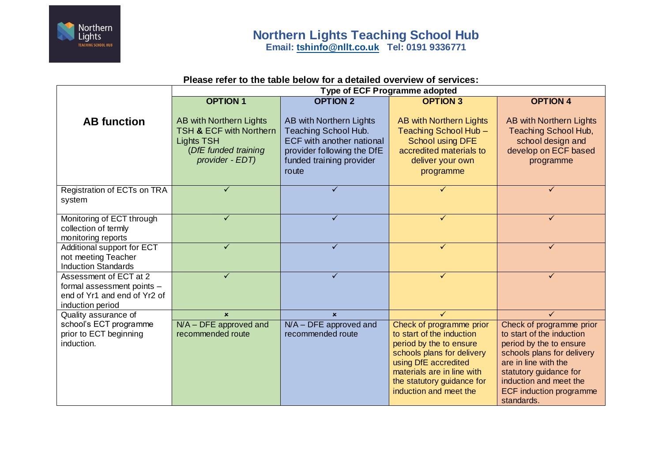

## **Please refer to the table below for a detailed overview of services:**

|                                                                                                          | <b>Type of ECF Programme adopted</b>                                                                                          |                                                                                                                                                        |                                                                                                                                                                                                                              |                                                                                                                                                                                                                                            |
|----------------------------------------------------------------------------------------------------------|-------------------------------------------------------------------------------------------------------------------------------|--------------------------------------------------------------------------------------------------------------------------------------------------------|------------------------------------------------------------------------------------------------------------------------------------------------------------------------------------------------------------------------------|--------------------------------------------------------------------------------------------------------------------------------------------------------------------------------------------------------------------------------------------|
|                                                                                                          | <b>OPTION 1</b>                                                                                                               | <b>OPTION 2</b>                                                                                                                                        | <b>OPTION 3</b>                                                                                                                                                                                                              | <b>OPTION 4</b>                                                                                                                                                                                                                            |
| <b>AB</b> function                                                                                       | AB with Northern Lights<br><b>TSH &amp; ECF with Northern</b><br><b>Lights TSH</b><br>(DfE funded training<br>provider - EDT) | AB with Northern Lights<br>Teaching School Hub.<br><b>ECF with another national</b><br>provider following the DfE<br>funded training provider<br>route | <b>AB with Northern Lights</b><br>Teaching School Hub -<br><b>School using DFE</b><br>accredited materials to<br>deliver your own<br>programme                                                                               | AB with Northern Lights<br>Teaching School Hub,<br>school design and<br>develop on ECF based<br>programme                                                                                                                                  |
| Registration of ECTs on TRA<br>system                                                                    | ✓                                                                                                                             | ✓                                                                                                                                                      |                                                                                                                                                                                                                              | ✓                                                                                                                                                                                                                                          |
| Monitoring of ECT through<br>collection of termly<br>monitoring reports                                  | ✓                                                                                                                             | ✓                                                                                                                                                      | ✓                                                                                                                                                                                                                            | ✓                                                                                                                                                                                                                                          |
| Additional support for ECT<br>not meeting Teacher<br><b>Induction Standards</b>                          | ✓                                                                                                                             | $\checkmark$                                                                                                                                           | $\checkmark$                                                                                                                                                                                                                 | $\checkmark$                                                                                                                                                                                                                               |
| Assessment of ECT at 2<br>formal assessment points -<br>end of Yr1 and end of Yr2 of<br>induction period | $\checkmark$                                                                                                                  | ✓                                                                                                                                                      | $\checkmark$                                                                                                                                                                                                                 | ✓                                                                                                                                                                                                                                          |
| Quality assurance of                                                                                     | $\mathbf{x}$                                                                                                                  | $\mathbf{x}$                                                                                                                                           | $\checkmark$                                                                                                                                                                                                                 | ✓                                                                                                                                                                                                                                          |
| school's ECT programme<br>prior to ECT beginning<br>induction.                                           | $N/A - DFE$ approved and<br>recommended route                                                                                 | $N/A - DFE$ approved and<br>recommended route                                                                                                          | Check of programme prior<br>to start of the induction<br>period by the to ensure<br>schools plans for delivery<br>using DfE accredited<br>materials are in line with<br>the statutory guidance for<br>induction and meet the | Check of programme prior<br>to start of the induction<br>period by the to ensure<br>schools plans for delivery<br>are in line with the<br>statutory guidance for<br>induction and meet the<br><b>ECF induction programme</b><br>standards. |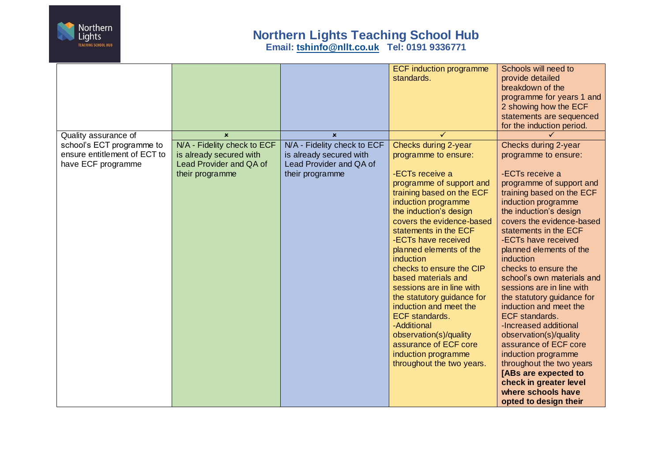

# **Northern Lights Teaching School Hub Email: [tshinfo@nllt.co.uk](mailto:tshinfo@nllt.co.uk) Tel: 0191 9336771**

| Quality assurance of                               | $\mathbf{x}$                                                          | $\mathbf{x}$                                                          | <b>ECF induction programme</b><br>standards.                                                                                                                                                                                 | Schools will need to<br>provide detailed<br>breakdown of the<br>programme for years 1 and<br>2 showing how the ECF<br>statements are sequenced<br>for the induction period.                                                     |
|----------------------------------------------------|-----------------------------------------------------------------------|-----------------------------------------------------------------------|------------------------------------------------------------------------------------------------------------------------------------------------------------------------------------------------------------------------------|---------------------------------------------------------------------------------------------------------------------------------------------------------------------------------------------------------------------------------|
| ensure entitlement of ECT to<br>have ECF programme | is already secured with<br>Lead Provider and QA of<br>their programme | is already secured with<br>Lead Provider and QA of<br>their programme | programme to ensure:<br>-ECTs receive a<br>programme of support and<br>training based on the ECF<br>induction programme<br>the induction's design<br>covers the evidence-based<br>statements in the ECF                      | programme to ensure:<br>-ECTs receive a<br>programme of support and<br>training based on the ECF<br>induction programme<br>the induction's design<br>covers the evidence-based<br>statements in the ECF                         |
|                                                    |                                                                       |                                                                       | -ECTs have received<br>planned elements of the<br>induction<br>checks to ensure the CIP<br>based materials and<br>sessions are in line with<br>the statutory guidance for<br>induction and meet the<br><b>ECF</b> standards. | -ECTs have received<br>planned elements of the<br>induction<br>checks to ensure the<br>school's own materials and<br>sessions are in line with<br>the statutory guidance for<br>induction and meet the<br><b>ECF</b> standards. |
|                                                    |                                                                       |                                                                       | -Additional<br>observation(s)/quality<br>assurance of ECF core<br>induction programme<br>throughout the two years.                                                                                                           | -Increased additional<br>observation(s)/quality<br>assurance of ECF core<br>induction programme<br>throughout the two years<br>[ABs are expected to<br>check in greater level<br>where schools have<br>opted to design their    |